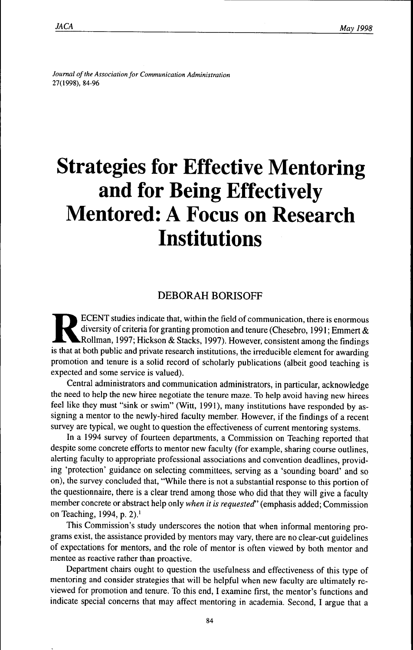*Joumai ofthe Association for Communication Administration* 27(1998), 84-96

# **Strategies for Effective Mentoring and for Being Effectively Mentored: A Focus on Research Institutions**

# DEBORAH BORISOFF

ECENT studies indicate that, within the field of communication, there is enormous<br>diversity of criteria for granting promotion and tenure (Chesebro, 1991; Emmert &<br>Rollman, 1997; Hickson & Stacks, 1997). However, consisten ECENT studies indicate that, within the field of communication, there is enormous diversity of criteria for granting promotion and tenure (Chesebro, 1991; Emmert  $\&$ Rollman, 1997; Hickson & Stacks, 1997). However, consistent among the findings promotion and tenure is a solid record of scholarly publications (albeit good teaching is expected and some service is valued).

Central administrators and communication administrators, in particular, acknowledge the need to help the new hiree negotiate the tenure maze. To help avoid having new hirees feel like they must "sink or swim" (Witt, 1991), many institutions have responded by assigning a mentor to the newly-hired faculty member. However, if the fmdings of a recent survey are typical, we ought to question the effectiveness of current mentoring systems.

In a 1994 survey of fourteen departments, a Commission on Teaching reported that despite some concrete efforts to mentor new faculty (for example, sharing course outlines, alerting faculty to appropriate professional associations and convention deadlines, providing 'protection' guidance on selecting committees, serving as a 'sounding board' and so on), the survey concluded that, "While there is not a substantial response to this portion of the questionnaire, there is a clear trend among those who did that they will give a faculty member concrete or abstract help only *when it is requested'* (emphasis added; Commission on Teaching, 1994, p. 2).'

This Commission's study underscores the notion that when informal mentoring programs exist, the assistance provided by mentors may vary, there are no clear-cut guidelines of expectations for mentors, and the role of mentor is often viewed by both mentor and mentee as reactive rather than proactive.

Department chairs ought to question the usefulness and effectiveness of this type of mentoring and consider strategies that will be helpful when new faculty are ultimately reviewed for promotion and tenure. To this end, I examine first, the mentor's functions and indicate special concerns that may affect mentoring in academia. Second, I argue that a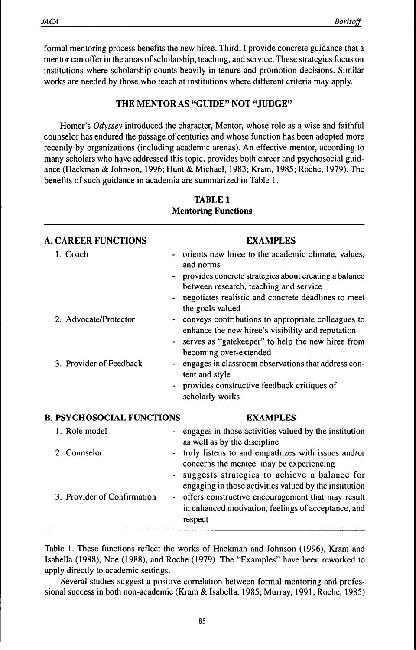formal mentoring process benefits the new hiree. Third, I provide concrete guidance that a mentor can offer in the areas of scholarship, teaching, and service. These strategies focus on institutions where scholarship counts heavily in tenure and promotion decisions. Similar works are needed by those who teach at institutions where different criteria may apply.

# **THE MENTOR AS "GUIDE" NOT "JUDGE"**

Homer's *Odyssey* introduced the character. Mentor, whose role as a wise and faithful counselor has endured the passage of centuries and whose function has been adopted more recently by organizations (including academic arenas). An effective mentor, according to many scholars who have addressed this topic, provides both career and psychosocial guidance (Hackman & Johnson, 1996; Hunt & Michael, 1983; Kram, 1985; Roche, 1979). The benefits of such guidance in academia are summarized in Table 1.

|                                  | <b>A. CAREER FUNCTIONS</b>  |                | <b>EXAMPLES</b>                                                                                                                                                                                                                               |
|----------------------------------|-----------------------------|----------------|-----------------------------------------------------------------------------------------------------------------------------------------------------------------------------------------------------------------------------------------------|
| 1. Coach                         |                             |                | orients new hiree to the academic climate, values,<br>and norms<br>provides concrete strategies about creating a balance<br>between research, teaching and service<br>negotiates realistic and concrete deadlines to meet<br>the goals valued |
|                                  | 2. Advocate/Protector       |                | conveys contributions to appropriate colleagues to<br>enhance the new hiree's visibility and reputation<br>serves as "gatekeeper" to help the new hiree from<br>becoming over-extended                                                        |
|                                  | 3. Provider of Feedback     |                | engages in classroom observations that address con-<br>tent and style<br>provides constructive feedback critiques of<br>scholarly works                                                                                                       |
| <b>B. PSYCHOSOCIAL FUNCTIONS</b> |                             |                | <b>EXAMPLES</b>                                                                                                                                                                                                                               |
| 1. Role model                    |                             |                | engages in those activities valued by the institution<br>as well as by the discipline                                                                                                                                                         |
| 2. Counselor                     |                             |                | truly listens to and empathizes with issues and/or<br>concerns the mentee may be experiencing<br>suggests strategies to achieve a balance for<br>engaging in those activities valued by the institution                                       |
|                                  | 3. Provider of Confirmation | $\blacksquare$ | offers constructive encouragement that may result<br>in enhanced motivation, feelings of acceptance, and<br>respect                                                                                                                           |

# **TABLE 1 Mentoring Functions**

Table 1. These functions reflect the works of Hackman and Johnson (1996), Kram and Isabella (1988), Noe (1988), and Roche (1979). The "Examples" have been reworked to apply directly to academic settings.

Several studies suggest a positive correlation between formal mentoring and professional success in both non-academic (Kram & Isabella, 1985; Murray, 1991; Roche, 1985)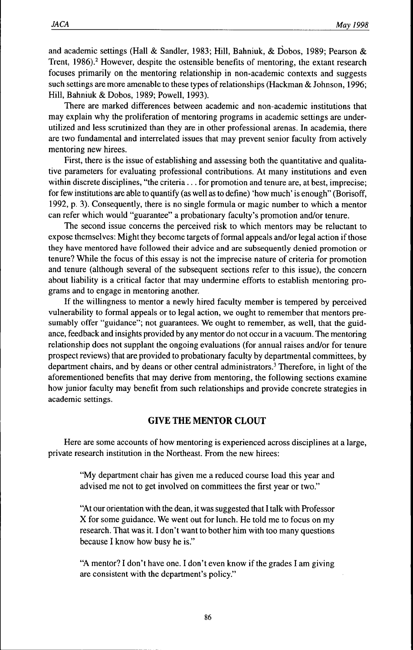and academic settings (Hall & Sandier, 1983; Hill, Bahniuk, & Dobos, 1989; Pearson & Trent, 1986).<sup>2</sup> However, despite the ostensible benefits of mentoring, the extant research focuses primarily on the mentoring relationship in non-academic contexts and suggests such settings are more amenable to these types of relationships (Hackman & Johnson, 1996; Hill, Bahniuk & Dobos, 1989; Powell, 1993).

There are marked differences between academic and non-academic institutions that may explain why the proliferation of mentoring programs in academic settings are underutilized and less scrutinized than they are in other professional arenas. In academia, there are two fundamental and interrelated issues that may prevent senior faculty from actively mentoring new hirees.

First, there is the issue of establishing and assessing both the quantitative and qualitative parameters for evaluating professional contributions. At many institutions and even within discrete disciplines, "the criteria... for promotion and tenure are, at best, imprecise; for few institutions are able to quantify (as well as to define) 'how much' is enough" (Borisoff, 1992, p. 3). Consequently, there is no single formula or magic number to which a mentor can refer which would "guarantee" a probationary faculty's promotion and/or tenure.

The second issue concerns the perceived risk to which mentors may be reluctant to expose themselves: Might they become targets of formal appeals and/or legal action if those they have mentored have followed their advice and are subsequently denied promotion or tenure? While the focus of this essay is not the imprecise nature of criteria for promotion and tenure (although several of the subsequent sections refer to this issue), the concern about liability is a critical factor that may undermine efforts to establish mentoring programs and to engage in mentoring another.

If the willingness to mentor a newly hired faculty member is tempered by perceived vulnerability to formal appeals or to legal action, we ought to remember that mentors presumably offer "guidance"; not guarantees. We ought to remember, as well, that the guidance, feedback and insights provided by any mentor do not occur in a vacuum. The mentoring relationship does not supplant the ongoing evaluations (for annual raises and/or for tenure prospect reviews) that are provided to probationary faculty by departmental committees, by department chairs, and by deans or other central administrators.' Therefore, in light of the aforementioned benefits that may derive from mentoring, the following sections examine how junior faculty may benefit from such relationships and provide concrete strategies in academic settings.

# **GIVE THE MENTOR CLOUT**

Here are some accounts of how mentoring is experienced across disciplines at a large, private research institution in the Northeast. From the new hirees:

"My department chair has given me a reduced course load this year and advised me not to get involved on committees the first year or two."

"At our orientation with the dean, it was suggested that I talk with Professor X for some guidance. We went out for lunch. He told me to focus on my research. That was it. I don't want to bother him with too many questions because I know how busy he is."

"A mentor? I don't have one. I don't even know if the grades I am giving are consistent with the department's policy."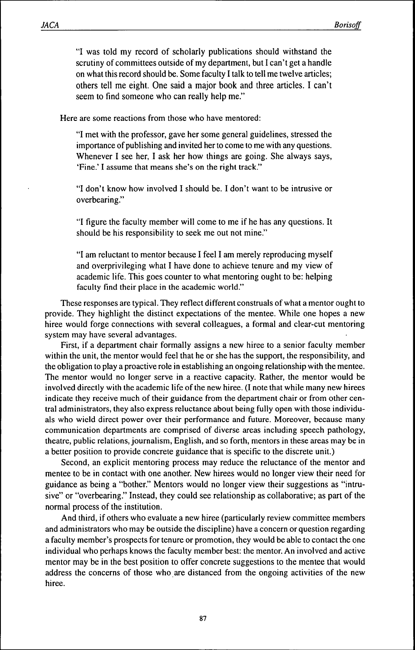"I was told my record of scholarly publications should withstand the scrutiny of committees outside of my department, but I can't get a handle on what this record should be. Some faculty I talk to tell me twelve articles; others tell me eight. One said a major book and three articles. I can't seem to find someone who can really help me."

Here are some reactions from those who have mentored:

"I met with the professor, gave her some general guidelines, stressed the importance of publishing and invited her to come to me with any questions. Whenever I see her, I ask her how things are going. She always says, 'Fine.' I assume that means she's on the right track."

"I don't know how involved I should be. I don't want to be intrusive or overbearing."

"I figure the faculty member will come to me if he has any questions. It should be his responsibility to seek me out not mine."

"I am reluctant to mentor because I feel I am merely reproducing myself and overprivileging what I have done to achieve tenure and my view of academic life. This goes counter to what mentoring ought to be: helping faculty find their place in the academic world."

These responses are typical. They reflect different construals of what a mentor ought to provide. They highlight the distinct expectations of the mentee. While one hopes a new hiree would forge connections with several colleagues, a formal and clear-cut mentoring system may have several advantages.

First, if a department chair formally assigns a new hiree to a senior faculty member within the unit, the mentor would feel that he or she has the support, the responsibility, and the obligation to play a proactive role in establishing an ongoing relationship with the mentee. The mentor would no longer serve in a reactive capacity. Rather, the mentor would be involved directly with the academic life of the new hiree. (I note that while many new hirees indicate they receive much of their guidance from the department chair or from other central administrators, they also express reluctance about being fully open with those individuals who wield direct power over their performance and future. Moreover, because many communication departments are comprised of diverse areas including speech pathology, theatre, public relations, journalism, English, and so forth, mentors in these areas may be in a better position to provide concrete guidance that is specific to the discrete unit.)

Second, an explicit mentoring process may reduce the reluctance of the mentor and mentee to be in contact with one another. New hirees would no longer view their need for guidance as being a "bother." Mentors would no longer view their suggestions as "intrusive" or "overbearing." Instead, they could see relationship as collaborative; as part of the normal process of the institution.

And third, if others who evaluate a new hiree (particularly review committee members and administrators who may be outside the discipline) have a concern or question regarding a faculty member's prospects for tenure or promotion, they would be able to contact the one individual who perhaps knows the faculty member best: the mentor. An involved and active mentor may be in the best position to offer concrete suggestions to the mentee that would address the concerns of those who are distanced from the ongoing activities of the new hiree.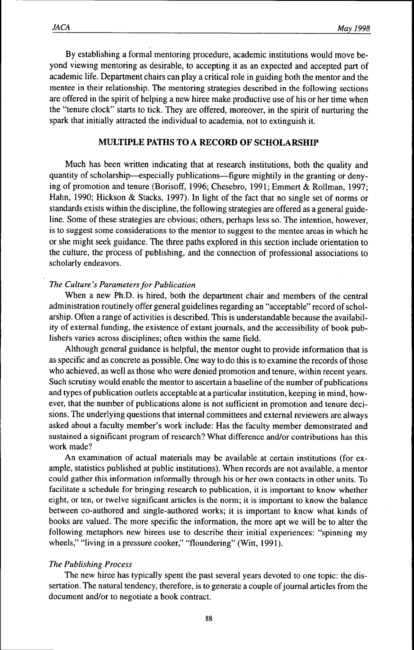By establishing a formal mentoring procedure, academic institutions would move beyond viewing mentoring as desirable, to accepting it as an expected and accepted part of academic life. Department chairs can play a critical role in guiding both the mentor and the mentee in their relationship. The mentoring strategies described in the following sections are offered in the spirit of helping a new hiree make productive use of his or her time when the "tenure clock" starts to tick. They are offered, moreover, in the spirit of nurturing the spark that initially attracted the individual to academia, not to extinguish it.

## **MULTIPLE PATHS TO A RECORD OF SCHOLARSHIP**

Much has been written indicating that at research institutions, both the quality and quantity of scholarship—especially publications—figure mightily in the granting or denying of promotion and tenure (Borisoff, 1996; Chesebro, 1991; Emmert & Rollman, 1997; Hahn, 1990; Hickson & Stacks, 1997). In light of the fact that no single set of norms or standards exists within the discipline, the following strategies are offered as a general guideline. Some of these strategies are obvious; others, perhaps less so. The intention, however, is to suggest some considerations to the mentor to suggest to the mentee areas in which he or she might seek guidance. The three paths explored in this section include orientation to the culture, the process of publishing, and the connection of professional associations to scholarly endeavors.

## *The Culture's Parameters for Publication*

When a new Ph.D. is hired, both the department chair and members of the central administration routinely offer general guidelines regarding an "acceptable" record of scholarship. Often a range of activities is described. This is understandable because the availability of external funding, the existence of extant journals, and the accessibility of book publishers varies across disciplines; often within the same field.

Although general guidance is helpful, the mentor ought to provide information that is as specific and as concrete as possible. One way to do this is to examine the records of those who achieved, as well as those who were denied promotion and tenure, within recent years. Such scrutiny would enable the mentor to ascertain a baseline of the number of publications and types of publication outlets acceptable at a particular institution, keeping in mind, however, that the number of publications alone is not sufficient in promotion and tenure decisions. The underlying questions that internal committees and external reviewers are always asked about a faculty member's work include: Has the faculty member demonstrated and sustained a significant program of research? What difference and/or contributions has this work made?

An examination of actual materials may be available at certain institutions (for example, statistics published at public institutions). When records are not available, a mentor could gather this information informally through his or her own contacts in other units. To facilitate a schedule for bringing research to publication, it is important to know whether eight, or ten, or twelve significant articles is the norm; it is important to know the balance between co-authored and single-authored works; it is important to know what kinds of books are valued. The more specific the information, the more apt we will be to alter the following metaphors new hirees use to describe their initial experiences: "spinning my wheels," "living in a pressure cooker," "floundering" (Witt, 1991).

## *The Publishing Process*

The new hiree has typically spent the past several years devoted to one topic: the dissertation. The natural tendency, therefore, is to generate a couple of journal articles from the document and/or to negotiate a book contract.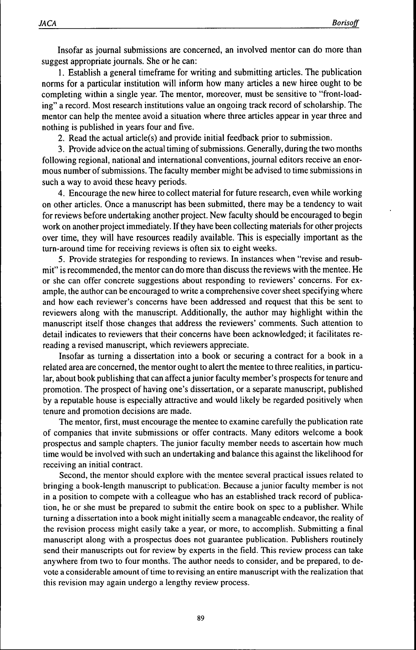Insofar as journal submissions are concerned, an involved mentor can do more than suggest appropriate journals. She or he can:

1. Establish a general timeframe for writing and submitting articles. The publication norms for a particular institution will inform how many articles a new hiree ought to be completing within a single year. The mentor, moreover, must be sensitive to "front-loading" a record. Most research institutions value an ongoing track record of scholarship. The mentor can help the mentee avoid a situation where three articles appear in year three and nothing is published in years four and five.

2. Read the actual article(s) and provide initial feedback prior to submission.

3. Provide advice on the actual timing of submissions. Generally, during the two months following regional, national and international conventions, journal editors receive an enormous number of submissions. The faculty member might be advised to time submissions in such a way to avoid these heavy periods.

4. Encourage the new hiree to collect material for future research, even while working on other articles. Once a manuscript has been submitted, there may be a tendency to wait for reviews before undertaking another project. New faculty should be encouraged to begin work on another project immediately. If they have been collecting materials for other projects over time, they will have resources readily available. This is especially important as the turn-around time for receiving reviews is often six to eight weeks.

5. Provide strategies for responding to reviews. In instances when "revise and resubmit" is recommended, the mentor can do more than discuss the reviews with the mentee. He or she can offer concrete suggestions about responding to reviewers' concerns. For example, the author can be encouraged to write a comprehensive cover sheet specifying where and how each reviewer's concerns have been addressed and request that this be sent to reviewers along with the manuscript. Additionally, the author may highlight within the manuscript itself those changes that address the reviewers' comments. Such attention to detail indicates to reviewers that their concerns have been acknowledged; it facilitates rereading a revised manuscript, which reviewers appreciate.

Insofar as turning a dissertation into a book or securing a contract for a book in a related area are concerned, the mentor ought to alert the mentee to three realities, in particular, about book publishing that can affect a junior faculty member's prospects for tenure and promotion. The prospect of having one's dissertation, or a separate manuscript, published by a reputable house is especially attractive and would likely be regarded positively when tenure and promotion decisions are made.

The mentor, first, must encourage the mentee to examine carefully the publication rate of companies that invite submissions or offer contracts. Many editors welcome a book prospectus and sample chapters. The junior faculty member needs to ascertain how much time would be involved with such an undertaking and balance this against the likelihood for receiving an initial contract.

Second, the mentor should explore with the mentee several practical issues related to bringing a book-length manuscript to publication. Because a junior faculty member is not in a position to compete with a colleague who has an established track record of publication, he or she must be prepared to submit the entire book on spec to a publisher. While turning a dissertation into a book might initially seem a manageable endeavor, the reality of the revision process might easily take a year, or more, to accomplish. Submitting a final manuscript along with a prospectus does not guarantee publication. Publishers routinely send their manuscripts out for review by experts in the field. This review process can take anywhere from two to four months. The author needs to consider, and be prepared, to devote a considerable amount of time to revising an entire manuscript with the realization that this revision may again undergo a lengthy review process.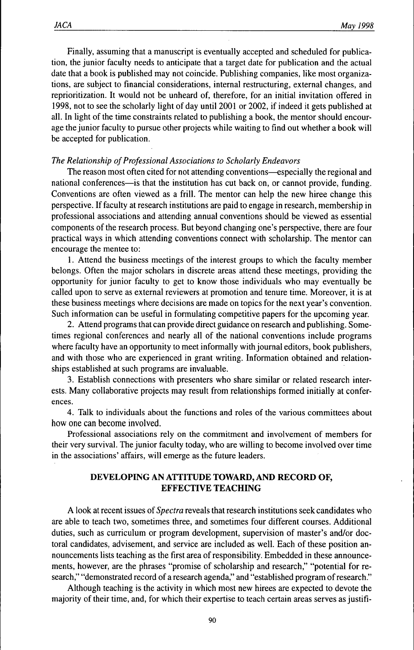Finally, assuming that a manuscript is eventually accepted and scheduled for publication, the junior faculty needs to anticipate that a target date for publication and the actual date that a book is published may not coincide. Publishing companies, like most organizations, are subject to financial considerations, internal restructuring, external changes, and reprioritization. It would not be unheard of, therefore, for an initial invitation offered in 1998, not to see the scholarly light of day until 2001 or 2002, if indeed it gets published at all. In light of the time constraints related to publishing a book, the mentor should encourage the junior faculty to pursue other projects while waiting to find out whether a book will be accepted for publication.

## *The Relationship of Professional Associations to Scholarly Endeavors*

The reason most often cited for not attending conventions—especially the regional and national conferences—is that the institution has cut back on, or cannot provide, funding. Conventions are often viewed as a frill. The mentor can help the new hiree change this perspective. If faculty at research institutions are paid to engage in research, membership in professional associations and attending annual conventions should be viewed as essential components of the research process. But beyond changing one's perspective, there are four practical ways in which attending conventions connect with scholarship. The mentor can encourage the mentee to:

1. Attend the business meetings of the interest groups to which the faculty member belongs. Often the major scholars in discrete areas attend these meetings, providing the opportunity for junior faculty to get to know those individuals who may eventually be called upon to serve as external reviewers at promotion and tenure time. Moreover, it is at these business meetings where decisions are made on topics for the next year's convention. Such information can be useful in formulating competitive papers for the upcoming year.

2. Attend programs that can provide direct guidance on research and publishing. Sometimes regional conferences and nearly all of the national conventions include programs where faculty have an opportunity to meet informally with journal editors, book publishers, and with those who are experienced in grant writing. Information obtained and relationships established at such programs are invaluable.

3. Establish connections with presenters who share similar or related research interests. Many collaborative projects may result from relationships formed initially at conferences.

4. Talk to individuals about the functions and roles of the various committees about how one can become involved.

Professional associations rely on the commitment and involvement of members for their very survival. The junior faculty today, who are willing to become involved over time in the associations' affairs, will emerge as the future leaders.

## **DEVELOPING AN ATTITUDE TOWARD, AND RECORD OF, EFFECTIVE TEACHING**

A look at recent issues *oi Spectra* reveals that research institutions seek candidates who are able to teach two, sometimes three, and sometimes four different courses. Additional duties, such as curriculum or program development, supervision of master's and/or doctoral candidates, advisement, and service are included as well. Each of these position announcements lists teaching as the first area of responsibility. Embedded in these announcements, however, are the phrases "promise of scholarship and research," "potential for research," "demonstrated record of a research agenda," and "established program of research."

Although teaching is the activity in which most new hirees are expected to devote the majority of their time, and, for which their expertise to teach certain areas serves as justifi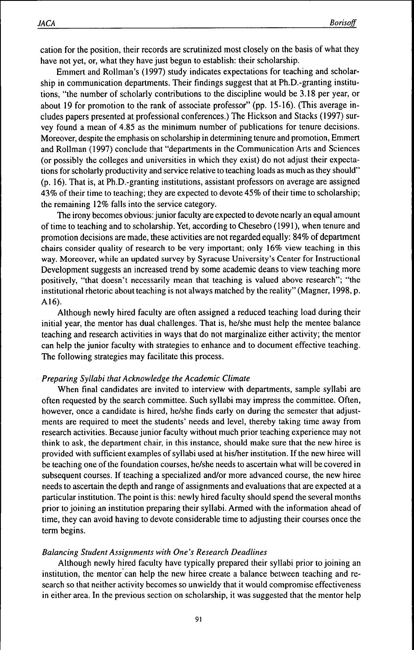cation for the position, their records are scrutinized most closely on the basis of what they have not yet, or, what they have just begun to establish: their scholarship.

Emmert and Rollman's (1997) study indicates expectations for teaching and scholarship in communication departments. Their findings suggest that at Ph.D.-granting institutions, "the number of scholarly contributions to the discipline would be 3.18 per year, or about 19 for promotion to the rank of associate professor" (pp. 15-16). (This average includes papers presented at professional conferences.) The Hickson and Stacks (1997) survey found a mean of 4.85 as the minimum number of publications for tenure decisions. Moreover, despite the emphasis on scholarship in determining tenure and promotion, Emmert and Rollman (1997) conclude that "departments in the Communication Arts and Sciences (or possibly the colleges and universities in which they exist) do not adjust their expectations for scholarly productivity and service relative to teaching loads as much as they should" (p. 16). That is, at Ph.D.-granting institutions, assistant professors on average are assigned 43% of their time to teaching; they are expected to devote 45% of their time to scholarship; the remaining 12% falls into the service category.

The irony becomes obvious: junior faculty are expected to devote nearly an equal amount of time to teaching and to scholarship. Yet, according to Chesebro (1991), when tenure and promotion decisions are made, these activities are not regarded equally: 84% of department chairs consider quality of research to be very important; only 16% view teaching in this way. Moreover, while an updated survey by Syracuse University's Center for Instructional Development suggests an increased trend by some academic deans to view teaching more positively, "that doesn't necessarily mean that teaching is valued above research"; "the institutional rhetoric about teaching is not always matched by the reality" (Magner, 1998, p. A16).

Although newly hired faculty are often assigned a reduced teaching load during their initial year, the mentor has dual challenges. That is, he/she must help the mentee balance teaching and research activities in ways that do not marginalize either activity; the mentor can help the junior faculty with strategies to enhance and to document effective teaching. The following strategies may facilitate this process.

## *Preparing Syllabi that Acknowledge the Academic Climate*

When final candidates are invited to interview with departments, sample syllabi are often requested by the search committee. Such syllabi may impress the committee. Often, however, once a candidate is hired, he/she finds early on during the semester that adjustments are required to meet the students' needs and level, thereby taking time away from research activities. Because junior faculty without much prior teaching experience may not think to ask, the department chair, in this instance, should make sure that the new hiree is provided with sufficient examples of syllabi used at his/her institution. If the new hiree will be teaching one of the foundation courses, he/she needs to ascertain what will be covered in subsequent courses. If teaching a specialized and/or more advanced course, the new hiree needs to ascertain the depth and range of assignments and evaluations that are expected at a particular institution. The point is this: newly hired faculty should spend the several months prior to joining an institution preparing their syllabi. Armed with the information ahead of time, they can avoid having to devote considerable time to adjusting their courses once the term begins.

#### *Balancing Student Assignments with One's Research Deadlines*

Although newly hired faculty have typically prepared their syllabi prior to joining an institution, the mentor can help the new hiree create a balance between teaching and research so that neither activity becomes so unwieldy that it would compromise effectiveness in either area. In the previous section on scholarship, it was suggested that the mentor help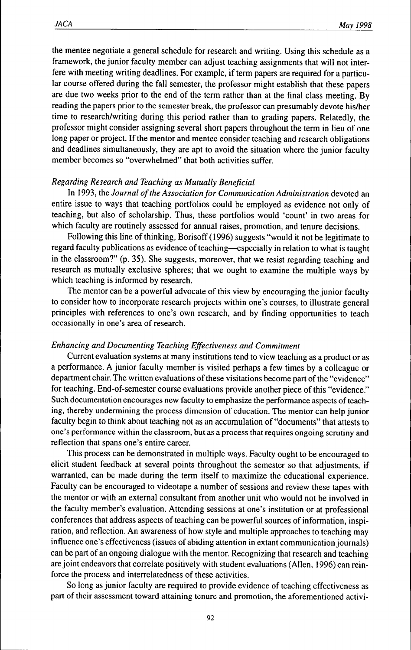the mentee negotiate a general schedule for research and writing. Using this schedule as a framework, the junior faculty member can adjust teaching assignments that will not interfere with meeting writing deadlines. For example, if term papers are required for a particular course offered during the fall semester, the professor might establish that these papers are due two weeks prior to the end of the term rather than at the final class meeting. By reading the papers prior to the semester break, the professor can presumably devote his/her time to research/writing during this period rather than to grading papers. Relatedly, the professor might consider assigning several short papers throughout the term in lieu of one long paper or project. If the mentor and mentee consider teaching and research obligations and deadlines simultaneously, they are apt to avoid the situation where the junior faculty member becomes so "overwhelmed" that both activities suffer.

#### *Regarding Research and Teaching as Mutually Beneficial*

In 1993, the Journal of the Association for Communication Administration devoted an entire issue to ways that teaching portfolios could be employed as evidence not only of teaching, but also of scholarship. Thus, these portfolios would 'count' in two areas for which faculty are routinely assessed for annual raises, promotion, and tenure decisions.

Following this line of thinking, Borisoff (1996) suggests "would it not be legitimate to regard faculty publications as evidence of teaching—especially in relation to what is taught in the classroom?" (p. 35). She suggests, moreover, that we resist regarding teaching and research as mutually exclusive spheres; that we ought to examine the multiple ways by which teaching is informed by research.

The mentor can be a powerful advocate of this view by encouraging the junior faculty to consider how to incorporate research projects within one's courses, to illustrate general principles with references to one's own research, and by finding opportunities to teach occasionally in one's area of research.

#### *Enhancing and Documenting Teaching Effectiveness and Commitment*

Current evaluation systems at many institutions tend to view teaching as a product or as a performance. A junior faculty member is visited perhaps a few times by a colleague or department chair. The written evaluations of these visitations become part of the "evidence" for teaching. End-of-semester course evaluations provide another piece of this "evidence." Such documentation encourages new faculty to emphasize the performance aspects of teaching, thereby undermining the process dimension of education. The mentor can help junior faculty begin to think about teaching not as an accumulation of "documents" that attests to one's performance within the classroom, but as a process that requires ongoing scrutiny and reflection that spans one's entire career.

This process can be demonstrated in multiple ways. Faculty ought to be encouraged to elicit student feedback at several points throughout the semester so that adjustments, if warranted, can be made during the term itself to maximize the educational experience. Faculty can be encouraged to videotape a number of sessions and review these tapes with the mentor or with an external consultant from another unit who would not be involved in the faculty member's evaluation. Attending sessions at one's institution or at professional conferences that address aspects of teaching can be powerful sources of infonnation, inspiration, and reflection. An awareness of how style and multiple approaches to teaching may influence one's effectiveness (issues of abiding attention in extant communication journals) can be part of an ongoing dialogue with the mentor. Recognizing that research and teaching are joint endeavors that correlate positively with student evaluations (Allen, 1996) can reinforce the process and interrelatedness of these activities.

So long as junior faculty are required to provide evidence of teaching effectiveness as part of their assessment toward attaining tenure and promotion, the aforementioned activi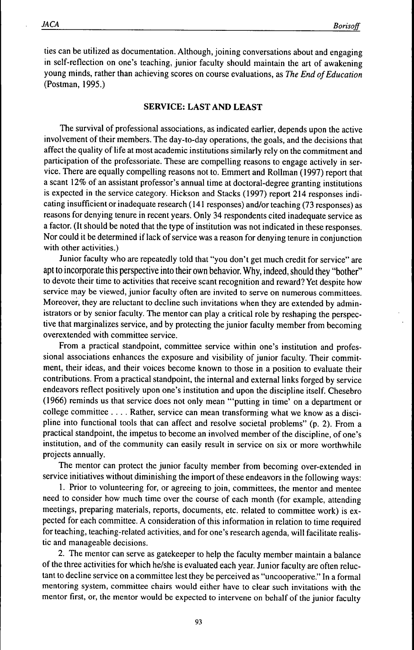ties can be utilized as documentation. Although, joining conversations about and engaging in self-reflection on one's teaching, junior faculty should maintain the art of awakening young minds, rather than achieving scores on course evaluations, as *The End of Education* (Postman, 1995.)

## **SERVICE: LAST AND LEAST**

The survival of professional associations, as indicated earlier, depends upon the active involvement of their members. The day-to-day operations, the goals, and the decisions that affect the quality of life at most academic institutions similarly rely on the commitment and participation of the professoriate. These are compelling reasons to engage actively in service. There are equally compelling reasons not to. Emmert and Roilman (1997) report that a scant 12% of an assistant professor's annual time at doctoral-degree granting institutions is expected in the service category. Hickson and Stacks (1997) report 214 responses indicating insufficient or inadequate research (141 responses) and/or teaching (73 responses) as reasons for denying tenure in recent years. Only 34 respondents cited inadequate service as a factor. (It should be noted that the type of institution was not indicated in these responses. Nor could it be determined if lack of service was a reason for denying tenure in conjunction with other activities.)

Junior faculty who are repeatedly told that "you don't get much credit for service" are apt to incorporate this perspective into their own behavior. Why, indeed, should they "bother" to devote their time to activities that receive scant recognition and reward? Yet despite how service may be viewed, junior faculty often are invited to serve on numerous committees. Moreover, they are reluctant to decline such invitations when they are extended by administrators or by senior faculty. The mentor can play a critical role by reshaping the perspective that marginalizes service, and by protecting the junior faculty member from becoming overextended with committee service.

From a practical standpoint, committee service within one's institution and professional associations enhances the exposure and visibility of junior faculty. Their commitment, their ideas, and their voices become known to those in a position to evaluate their contributions. From a practical standpoint, the internal and external links forged by service endeavors reflect positively upon one's institution and upon the discipline itself. Chesebro (1966) reminds us that service does not only mean "'putting in time' on a department or college committee ... . Rather, service can mean transforming what we know as a discipline into functional tools that can affect and resolve societal problems" (p. 2). From a practical standpoint, the impetus to become an involved member of the discipline, of one's institution, and of the community can easily result in service on six or more worthwhile projects annually.

The mentor can protect the junior faculty member from becoming over-extended in service initiatives without diminishing the import of these endeavors in the following ways:

1. Prior to volunteering for, or agreeing to join, committees, the mentor and mentee need to consider how much time over the course of each month (for example, attending meetings, preparing materials, reports, documents, etc. related to committee work) is expected for each committee. A consideration of this information in relation to time required for teaching, teaching-related activities, and for one's research agenda, will facilitate realistic and manageable decisions.

2. The mentor can serve as gatekeeper to help the faculty member maintain a balance of the three activities for which he/she is evaluated each year. Junior faculty are often reluctant to decline service on a committee lest they be perceived as "uncooperative." In a formal mentoring system, committee chairs would either have to clear such invitations with the mentor first, or, the mentor would be expected to intervene on behalf of the junior faculty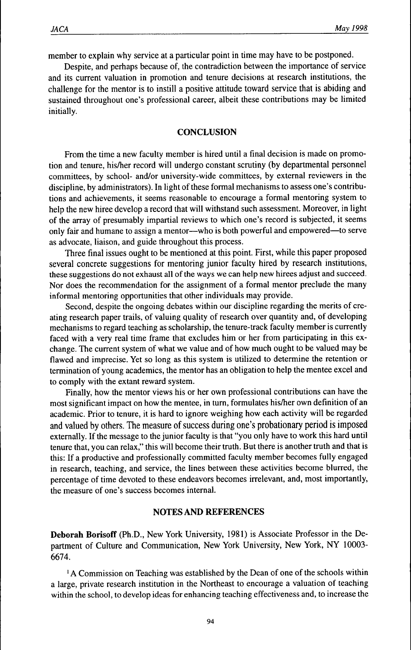member to explain why service at a particular point in time may have to be postponed.

Despite, and perhaps because of, the contradiction between the importance of service and its current valuation in promotion and tenure decisions at research institutions, the challenge for the mentor is to instill a positive attitude toward service that is abiding and sustained throughout one's professional career, albeit these contributions may be limited initially.

#### **CONCLUSION**

From the time a new faculty member is hired until a final decision is made on promotion and tenure, his/her record will undergo constant scrutiny (by departmental personnel committees, by school- and/or university-wide committees, by external reviewers in the discipline, by administrators). In light of these formal mechanisms to assess one's contributions and achievements, it seems reasonable to encourage a formal mentoring system to help the new hiree develop a record that will withstand such assessment. Moreover, in light of the array of presumably impartial reviews to which one's record is subjected, it seems only fair and humane to assign a mentor—who is both powerful and empowered—to serve as advocate, liaison, and guide throughout this process.

Three final issues ought to be mentioned at this point. First, while this paper proposed several concrete suggestions for mentoring junior faculty hired by research institutions, these suggestions do not exhaust all of the ways we can help new hirees adjust and succeed. Nor does the recommendation for the assignment of a formal mentor preclude the many informal mentoring opportunities that other individuals may provide.

Second, despite the ongoing debates within our discipline regarding the merits of creating research paper trails, of valuing quality of research over quantity and, of developing mechanisms to regard teaching as scholarship, the tenure-track faculty member is currently faced with a very real time frame that excludes him or her from participating in this exchange. The current system of what we value and of how much ought to be valued may be flawed and imprecise. Yet so long as this system is utilized to determine the retention or termination of young academics, the mentor has an obligation to help the mentee excel and to comply with the extant reward system.

Finally, how the mentor views his or her own professional contributions can have the most significant impact on how the mentee, in turn, formulates his/her own definition of an academic. Prior to tenure, it is hard to ignore weighing how each activity will be regarded and valued by others. The measure of success during one's probationary period is imposed externally. If the message to the junior faculty is that "you only have to work this hard until tenure that, you can relax," this will become their truth. But there is another truth and that is this: If a productive and professionally committed faculty member becomes fully engaged in research, teaching, and service, the lines between these activities become blurred, the percentage of time devoted to these endeavors becomes irrelevant, and, most importantly, the measure of one's success becomes internal.

#### **NOTES AND REFERENCES**

**Deborah Borisoff** (Ph.D., New York University, 1981) is Associate Professor in the Department of Culture and Communication, New York University, New York, NY 10003- 6674.

<sup>1</sup>A Commission on Teaching was established by the Dean of one of the schools within a large, private research institution in the Northeast to encourage a valuation of teaching within the school, to develop ideas for enhancing teaching effectiveness and, to increase the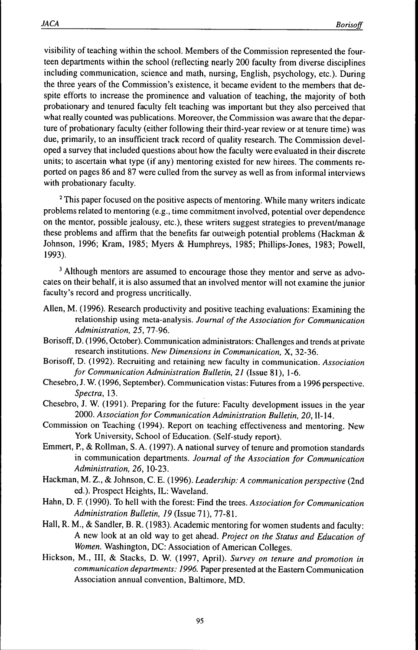visibility of teaching within the school. Members ofthe Commission represented the fourteen departments within the school (reflecting nearly 200 faculty from diverse disciplines including communication, science and math, nursing, English, psychology, etc.). During the three years of the Commission's existence, it became evident to the members that despite efforts to increase the prominence and valuation of teaching, the majority of both probationary and tenured faculty felt teaching was important but they also perceived that what really counted was publications. Moreover, the Commission was aware that the departure of probationary faculty (either following their third-year review or at tenure time) was due, primarily, to an insufficient track record of quality research. The Commission developed a survey that included questions about how the faculty were evaluated in their discrete units; to ascertain what type (if any) mentoring existed for new hirees. The comments reported on pages 86 and 87 were culled from the survey as well as from informal interviews with probationary faculty.

<sup>2</sup> This paper focused on the positive aspects of mentoring. While many writers indicate problems related to mentoring (e.g., time commitment involved, potential over dependence on the mentor, possible jealousy, etc.), these writers suggest strategies to prevent/manage these problems and affirm that the benefits far outweigh potential problems (Hackman  $\&$ Johnson, 1996; Kram, 1985; Myers & Humphreys, 1985; Phillips-Jones, 1983; Powell, 1993).

<sup>3</sup> Although mentors are assumed to encourage those they mentor and serve as advocates on their behalf, it is also assumed that an involved mentor will not examine the junior faculty's record and progress uncritically.

- Allen, M. (1996). Research productivity and positive teaching evaluations: Examining the relationship using meta-analysis. *Journal of the Association for Communication Administration, 25,* 77-96.
- Borisoff, D. (1996, October). Communication administrators: Challenges and trends at private research institutions. *New Dimensions in Communication,* X, 32-36.
- Borisoff, D. (1992). Recruiting and retaining new faculty in communication. *Association for Communication Administration Bulletin, 21* (Issue 81), 1-6.
- Chesebro, J. W. (1996, September). Communication vistas: Futures from a 1996 perspective. *Spectra,* 13.
- Chesebro, J. W. (1991). Preparing for the future: Faculty development issues in the year 2000. *Association for Communication Administration Bulletin, 20,*11-14.
- Commission on Teaching (1994). Report on teaching effectiveness and mentoring. New York University, School of Education. (Self-study report).
- Emmert, P., & Rollman, S. A. (1997). A national survey of tenure and promotion standards in communication departments. *Journal of the Association for Communication Administration, 26,* 10-23.
- Hackman, M. Z., & Johnson, C. E. (1996). *Leadership: A communication perspective* (2nd ed.). Prospect Heights, IL: Waveland.
- Hahn, D. F. (1990). To hell with the forest: Find the trees. *Association for Communication Administration Bulletin, 19* (Issue 71), 77-81.
- Hall, R. M., & Sandier, B. R. (1983). Academic mentoring for women students and faculty: A new look at an old way to get ahead. *Project on the Status and Education of Women.* Washington, DC: Association of American Colleges.
- Hickson, M., Ill, & Stacks, D. W. (1997, April). *Survey on tenure and promotion in communication departments: 1996.* Paper presented at the Eastern Communication Association annual convention, Baltimore, MD.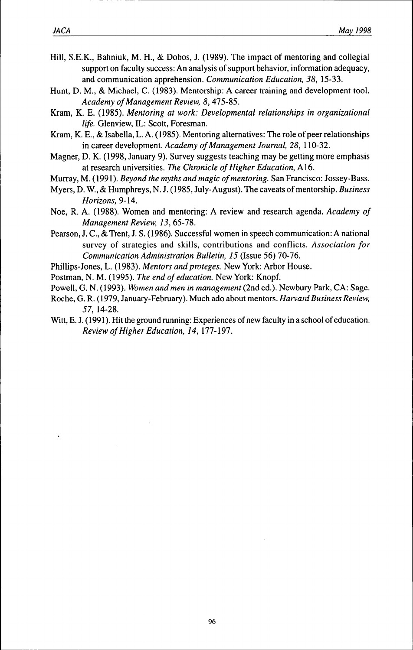- Hill, S.E.K., Bahniuk, M. H., & Dobos, J. (1989). The impact of mentoring and eollegial support on faculty success: An analysis of support behavior, information adequacy, and communication apprehension. *Communication Education, 38,* 15-33.
- Hunt, D. M., & Michael, C. (1983). Mentorship: A career training and development tool. *Academy of Management Review, 8,* 475-85.
- Kram, K. E. (1985). *Mentoring at work: Developmental relationships in organizational life.* Glenview, IL: Scott, Foresman.
- Kram, K. E., & Isabella, L. A. (1985). Mentoring alternatives: The role of peer relationships in career development. *Academy of Management Journal, 28,* 110-32.
- Magner, D. K. (1998, January 9). Survey suggests teaching may be getting more empbasis at research universities. *The Chronicle of Higher Education,* A16.
- Murray, M. (1991). *Beyond the myths and magic of mentoring.* San Francisco: Jossey-Bass.
- Myers, D. W., & Humphreys, N. J. (1985, July-August). The caveats of mentorship. *Business Horizons,* 9-14.
- Noe, R. A. (1988). Women and mentoring: A review and research agenda. *Academy of Management Review, 13,* 65-78.
- Pearson, J. C, & Trent, J. S. (1986). Successful women in speech communication: A national survey of strategies and skills, contributions and conflicts. *Association for Communication Administration Bulletin, 15* (Issue 56) *1Q)-16.*
- Phillips-Jones, L. (1983). *Mentors and proteges.* New York: Arbor House.
- Postman, N. M. (1995). *The end of education.* New York: Knopf.
- Powell, G. N. (1993). *Women and men in management* (2nd ed.). Newbury Park, CA: Sage.
- Roche, G. R. (1979, January-February). Much ado about mentors. *Harvard Business Review, 57,* 14-28.
- Witt, E. J. (1991). Hit the ground running: Experiences of new faculty in a school of education. *Review of Higher Education, 14, \11-\91.*